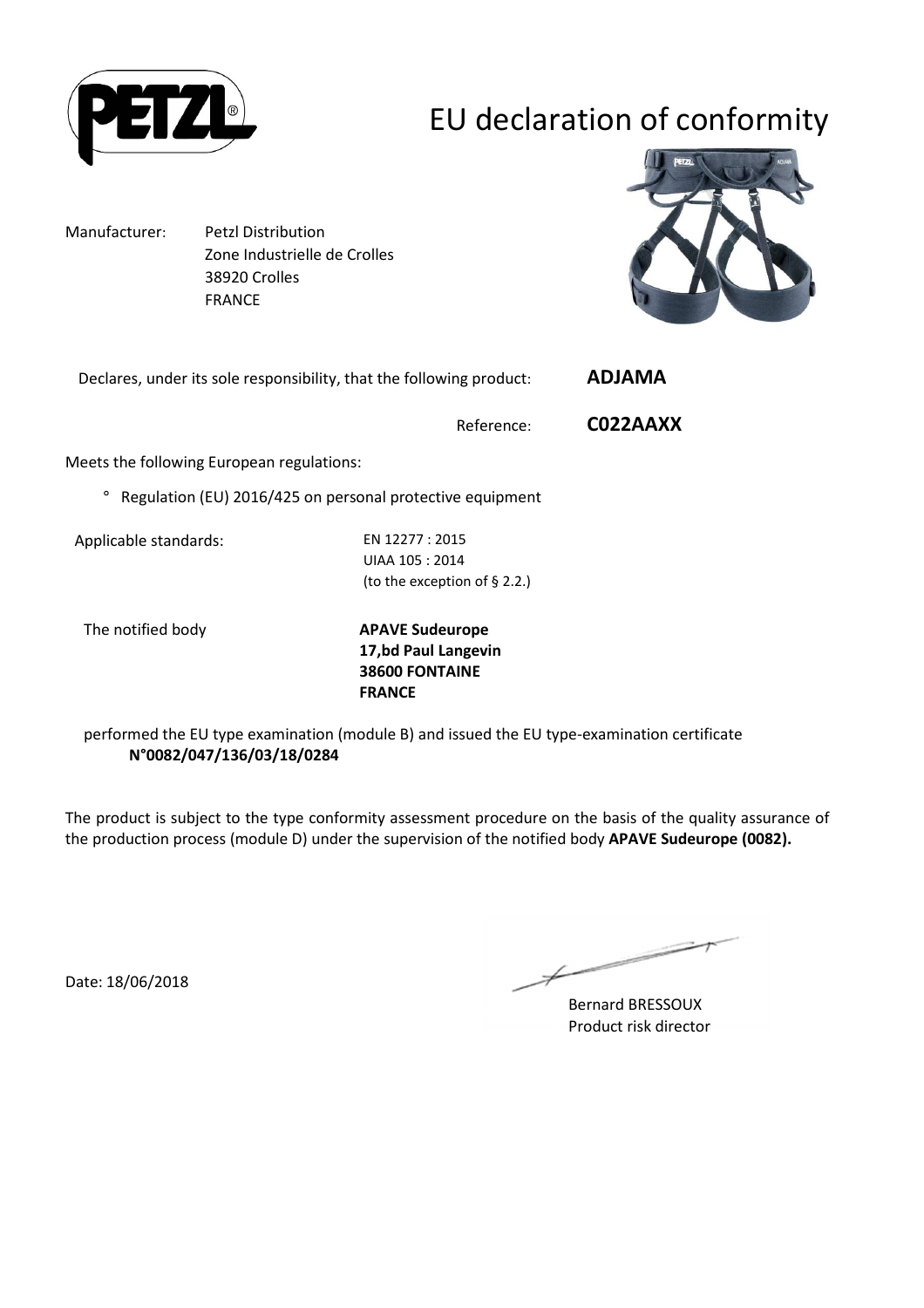

# EU declaration of conformity

Manufacturer: Petzl Distribution Zone Industrielle de Crolles 38920 Crolles FRANCE



|  | Declares, under its sole responsibility, that the following product: |  | ADJAMA |
|--|----------------------------------------------------------------------|--|--------|
|  |                                                                      |  |        |

Reference: **C022AAXX**

Meets the following European regulations:

° Regulation (EU) 2016/425 on personal protective equipment

Applicable standards: EN 12277 : 2015

UIAA 105 : 2014 (to the exception of § 2.2.)

The notified body **APAVE Sudeurope 17,bd Paul Langevin 38600 FONTAINE FRANCE**

performed the EU type examination (module B) and issued the EU type-examination certificate **N°0082/047/136/03/18/0284**

The product is subject to the type conformity assessment procedure on the basis of the quality assurance of the production process (module D) under the supervision of the notified body **APAVE Sudeurope (0082).**

Date: 18/06/2018

 $\overline{\phantom{a}}$ 

Bernard BRESSOUX Product risk director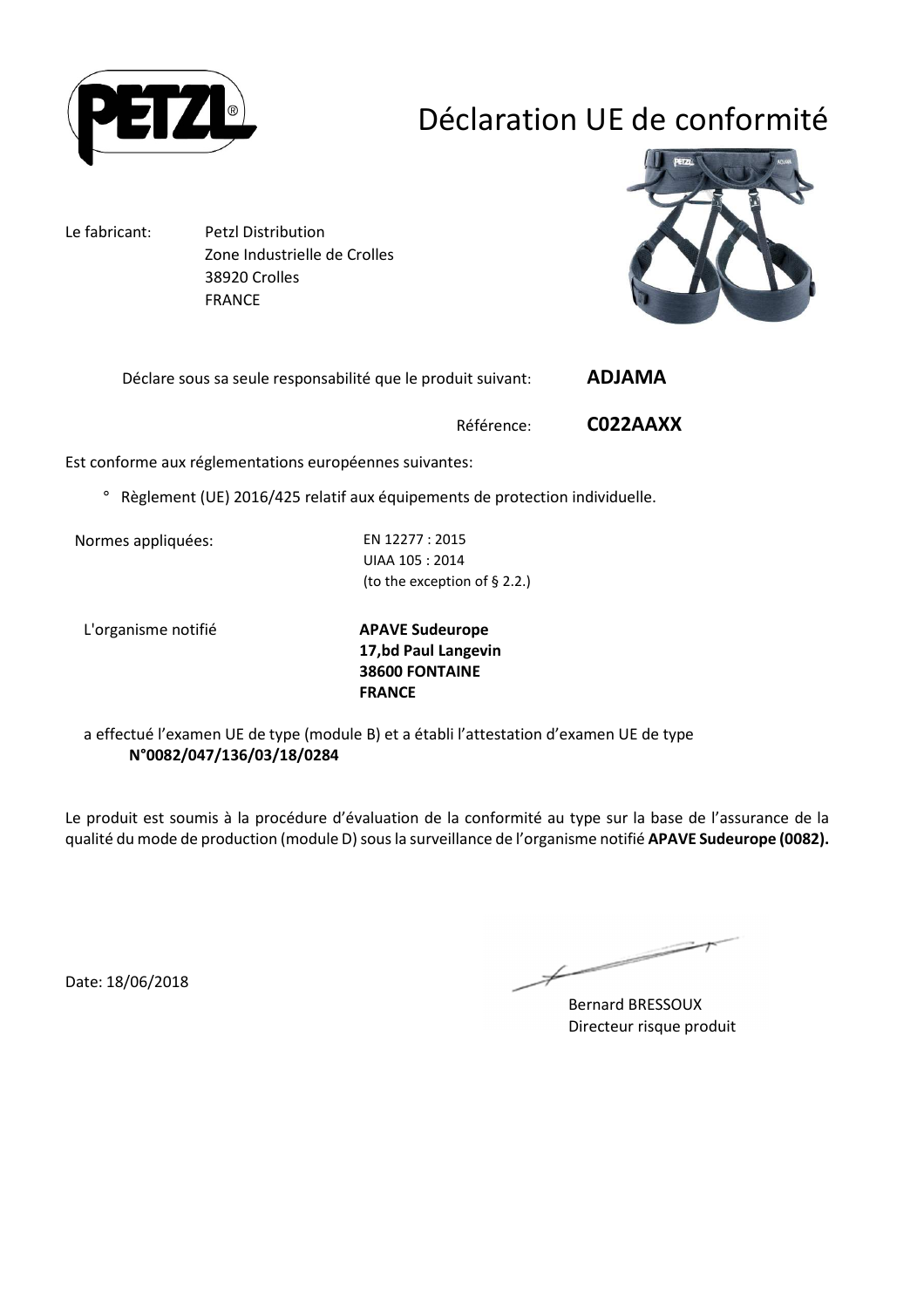

# Déclaration UE de conformité

Le fabricant: Petzl Distribution Zone Industrielle de Crolles 38920 Crolles FRANCE



Déclare sous sa seule responsabilité que le produit suivant: **ADJAMA** 

Référence: **C022AAXX**

Est conforme aux réglementations européennes suivantes:

° Règlement (UE) 2016/425 relatif aux équipements de protection individuelle.

Normes appliquées: EN 12277 : 2015

UIAA 105 : 2014 (to the exception of § 2.2.)

L'organisme notifié **APAVE Sudeurope**

**17,bd Paul Langevin 38600 FONTAINE FRANCE**

a effectué l'examen UE de type (module B) et a établi l'attestation d'examen UE de type **N°0082/047/136/03/18/0284**

Le produit est soumis à la procédure d'évaluation de la conformité au type sur la base de l'assurance de la qualité du mode de production (module D) sous la surveillance de l'organisme notifié **APAVE Sudeurope (0082).**

Date: 18/06/2018

 $\overline{\phantom{a}}$ 

Bernard BRESSOUX Directeur risque produit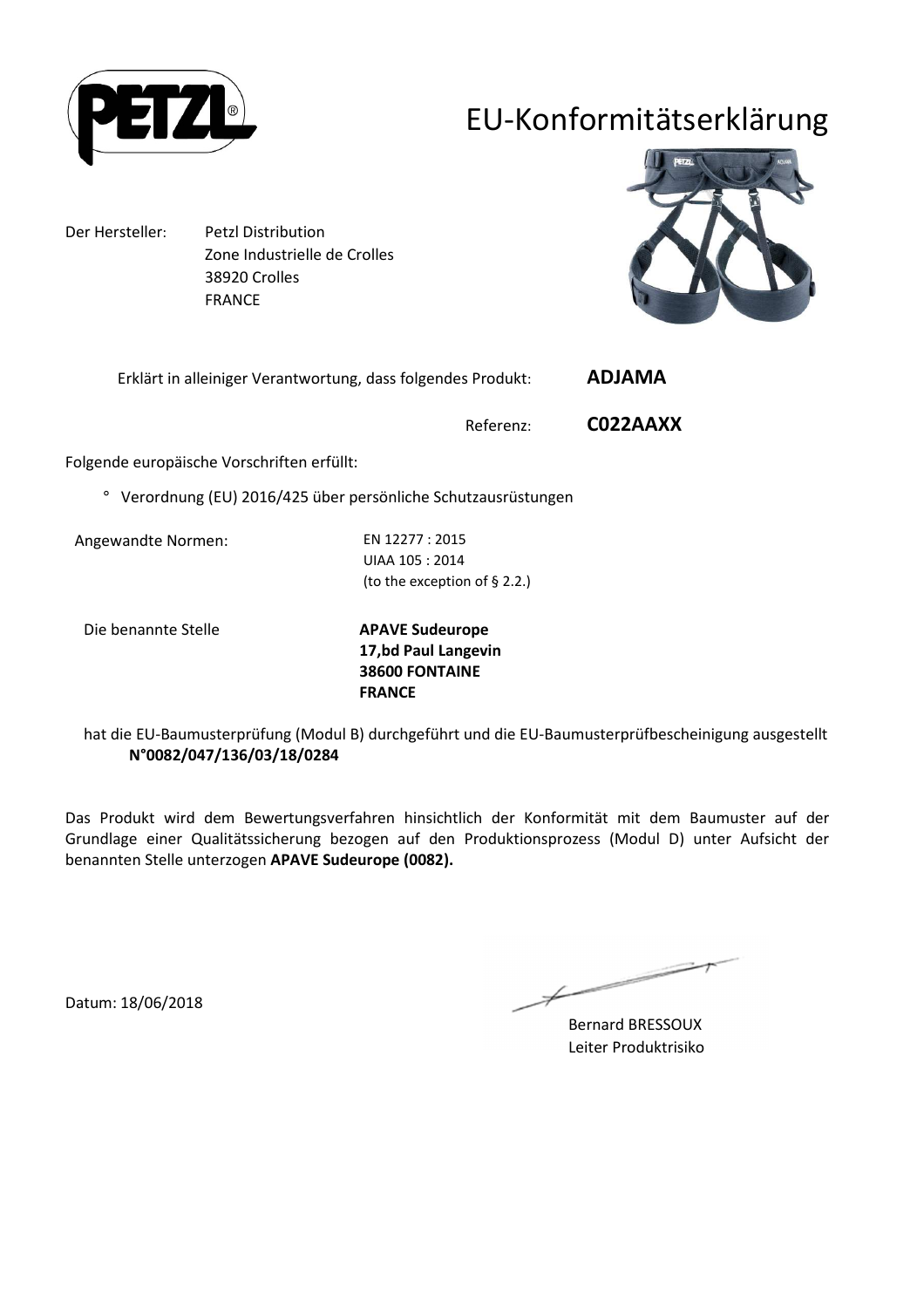

## EU-Konformitätserklärung

Der Hersteller: Petzl Distribution Zone Industrielle de Crolles 38920 Crolles FRANCE



Erklärt in alleiniger Verantwortung, dass folgendes Produkt: **ADJAMA** 

Referenz: **C022AAXX**

Folgende europäische Vorschriften erfüllt:

° Verordnung (EU) 2016/425 über persönliche Schutzausrüstungen

Angewandte Normen: EN 12277 : 2015

UIAA 105 : 2014 (to the exception of § 2.2.)

Die benannte Stelle **APAVE Sudeurope**

**17,bd Paul Langevin 38600 FONTAINE FRANCE**

hat die EU-Baumusterprüfung (Modul B) durchgeführt und die EU-Baumusterprüfbescheinigung ausgestellt **N°0082/047/136/03/18/0284**

Das Produkt wird dem Bewertungsverfahren hinsichtlich der Konformität mit dem Baumuster auf der Grundlage einer Qualitätssicherung bezogen auf den Produktionsprozess (Modul D) unter Aufsicht der benannten Stelle unterzogen **APAVE Sudeurope (0082).**

Bernard BRESSOUX Leiter Produktrisiko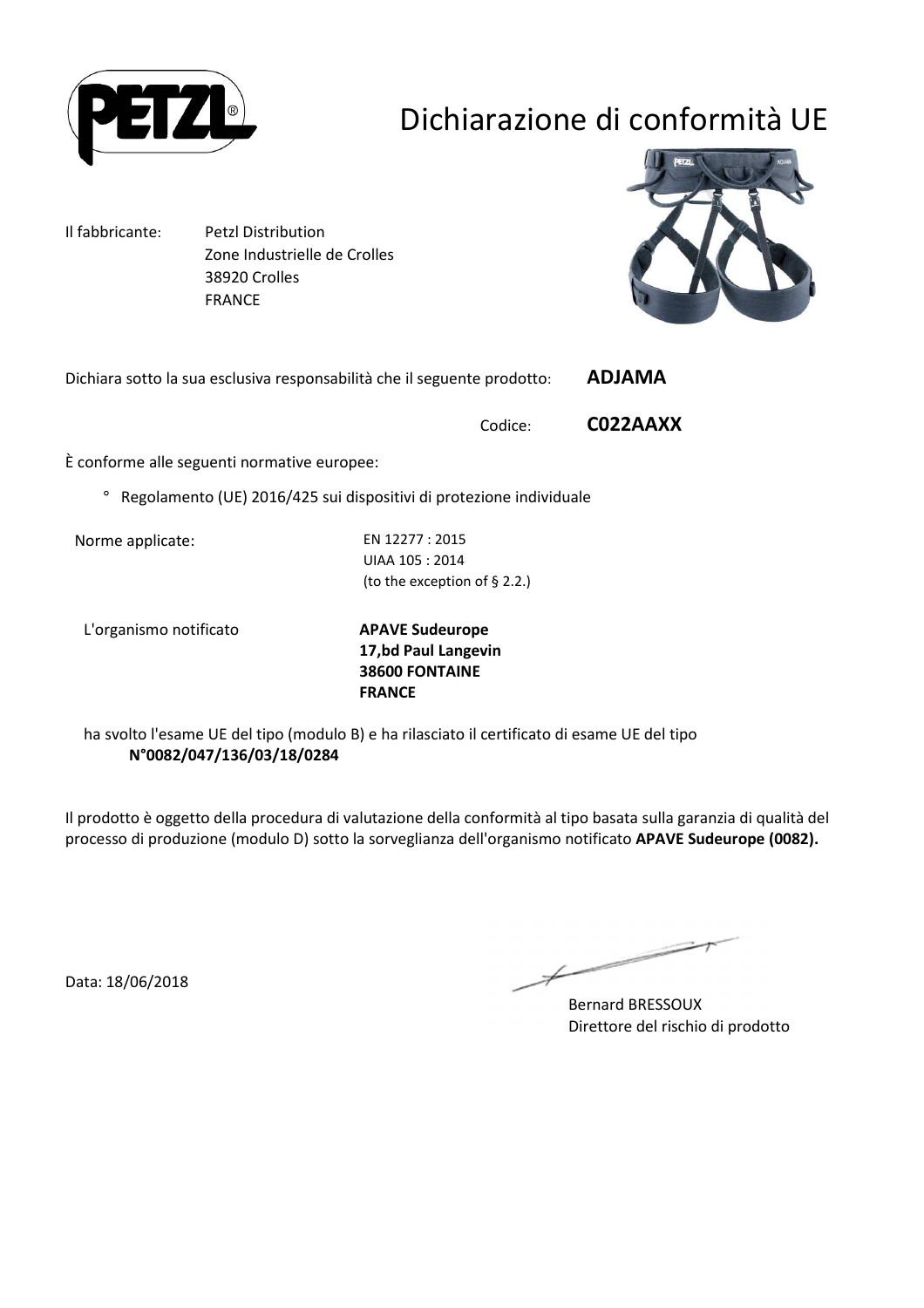

# Dichiarazione di conformità UE

Il fabbricante: Petzl Distribution Zone Industrielle de Crolles 38920 Crolles FRANCE



Dichiara sotto la sua esclusiva responsabilità che il seguente prodotto: **ADJAMA** 

Codice: **C022AAXX**

È conforme alle seguenti normative europee:

° Regolamento (UE) 2016/425 sui dispositivi di protezione individuale

Norme applicate: EN 12277 : 2015

UIAA 105 : 2014 (to the exception of § 2.2.)

L'organismo notificato **APAVE Sudeurope**

**17,bd Paul Langevin 38600 FONTAINE FRANCE**

ha svolto l'esame UE del tipo (modulo B) e ha rilasciato il certificato di esame UE del tipo **N°0082/047/136/03/18/0284**

Il prodotto è oggetto della procedura di valutazione della conformità al tipo basata sulla garanzia di qualità del processo di produzione (modulo D) sotto la sorveglianza dell'organismo notificato **APAVE Sudeurope (0082).**

Data: 18/06/2018

 $\overline{\phantom{a}}$ 

Bernard BRESSOUX Direttore del rischio di prodotto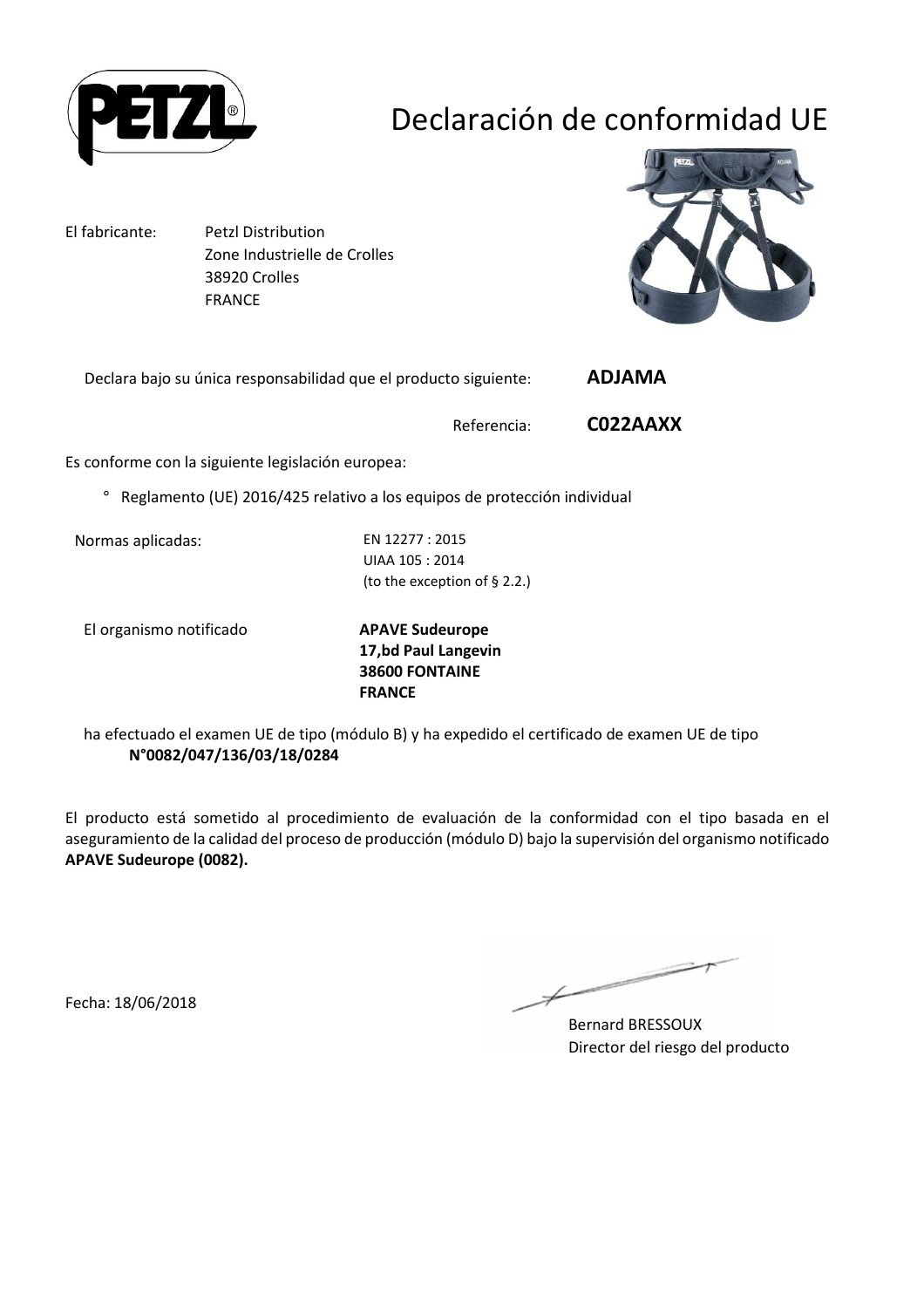

# Declaración de conformidad UE

El fabricante: Petzl Distribution

 Zone Industrielle de Crolles 38920 Crolles FRANCE



Declara bajo su única responsabilidad que el producto siguiente: **ADJAMA** 

Referencia: **C022AAXX**

Es conforme con la siguiente legislación europea:

° Reglamento (UE) 2016/425 relativo a los equipos de protección individual

Normas aplicadas: EN 12277 : 2015

UIAA 105 : 2014 (to the exception of § 2.2.)

El organismo notificado **APAVE Sudeurope**

**17,bd Paul Langevin 38600 FONTAINE FRANCE**

ha efectuado el examen UE de tipo (módulo B) y ha expedido el certificado de examen UE de tipo **N°0082/047/136/03/18/0284**

El producto está sometido al procedimiento de evaluación de la conformidad con el tipo basada en el aseguramiento de la calidad del proceso de producción (módulo D) bajo la supervisión del organismo notificado **APAVE Sudeurope (0082).**

Fecha: 18/06/2018

Bernard BRESSOUX Director del riesgo del producto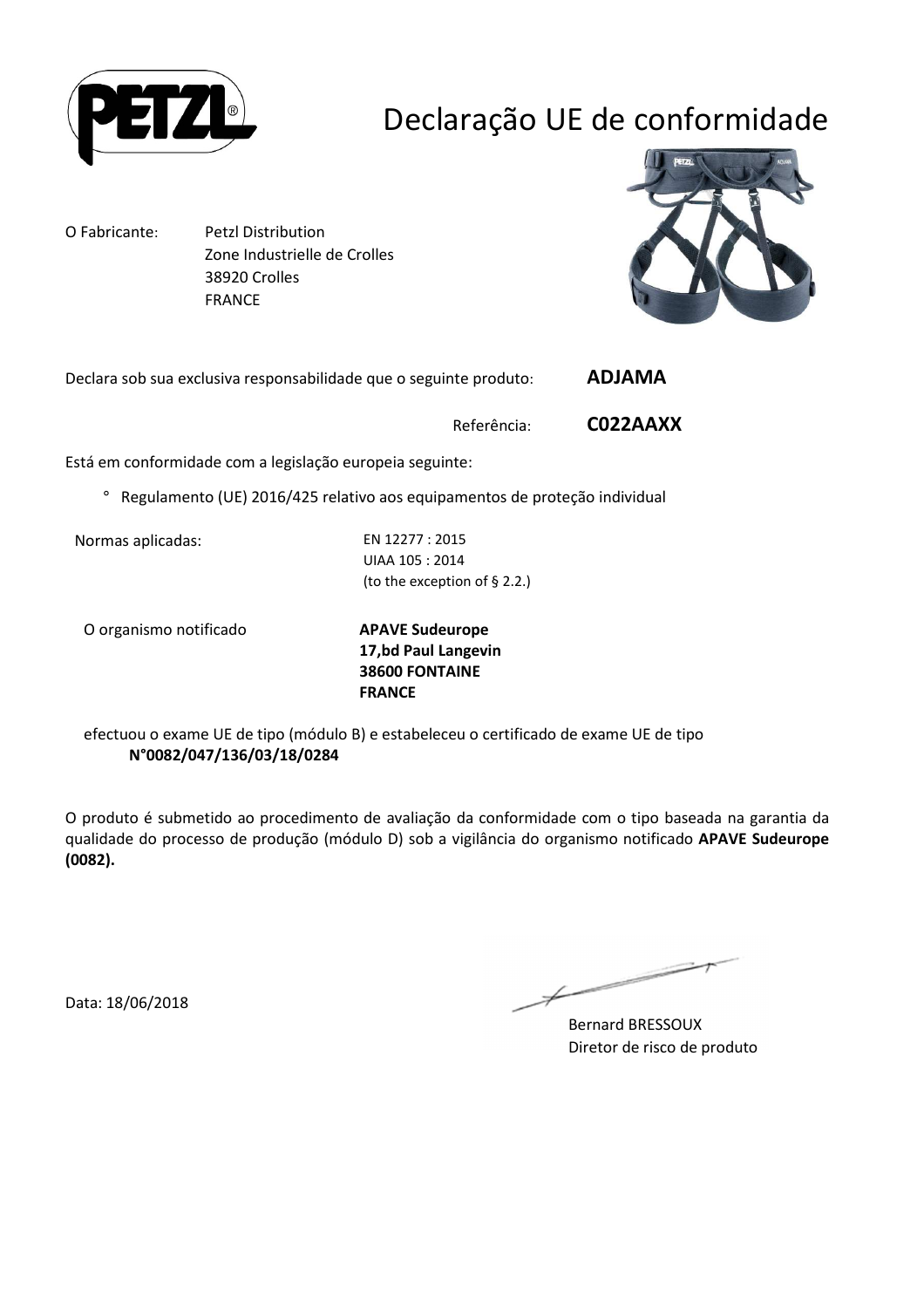

# Declaração UE de conformidade

O Fabricante: Petzl Distribution Zone Industrielle de Crolles 38920 Crolles FRANCE



Declara sob sua exclusiva responsabilidade que o seguinte produto: **ADJAMA** 

Referência: **C022AAXX**

Está em conformidade com a legislação europeia seguinte:

° Regulamento (UE) 2016/425 relativo aos equipamentos de proteção individual

Normas aplicadas: EN 12277 : 2015

UIAA 105 : 2014 (to the exception of § 2.2.)

O organismo notificado **APAVE Sudeurope**

**17,bd Paul Langevin 38600 FONTAINE FRANCE**

efectuou o exame UE de tipo (módulo B) e estabeleceu o certificado de exame UE de tipo **N°0082/047/136/03/18/0284**

O produto é submetido ao procedimento de avaliação da conformidade com o tipo baseada na garantia da qualidade do processo de produção (módulo D) sob a vigilância do organismo notificado **APAVE Sudeurope (0082).**

Data: 18/06/2018

Bernard BRESSOUX Diretor de risco de produto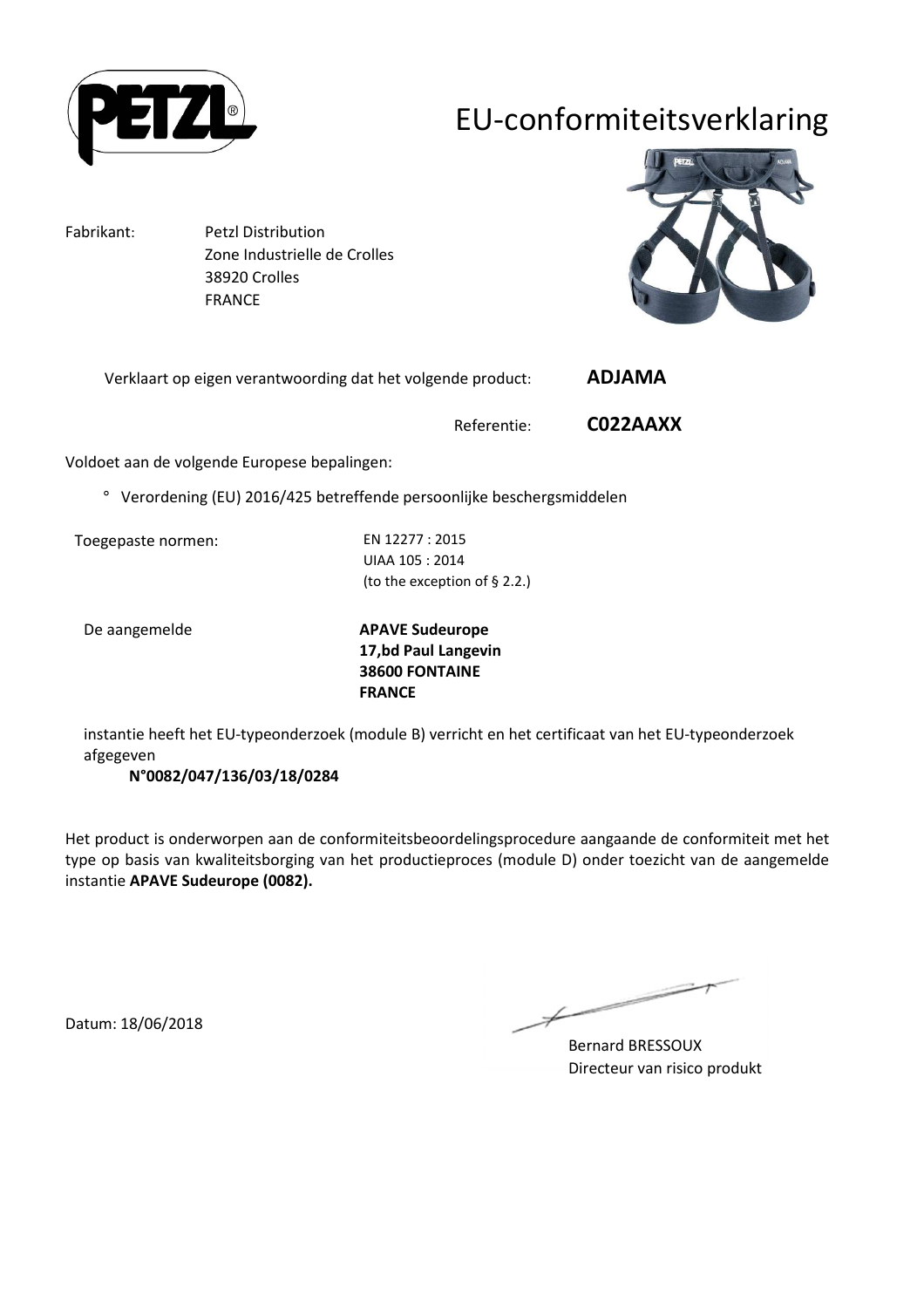

## EU-conformiteitsverklaring

Fabrikant: Petzl Distribution Zone Industrielle de Crolles 38920 Crolles FRANCE



Verklaart op eigen verantwoording dat het volgende product: **ADJAMA** 

Referentie: **C022AAXX**

Voldoet aan de volgende Europese bepalingen:

° Verordening (EU) 2016/425 betreffende persoonlijke beschergsmiddelen

Toegepaste normen: EN 12277 : 2015

UIAA 105 : 2014 (to the exception of § 2.2.)

De aangemelde **APAVE Sudeurope 17,bd Paul Langevin 38600 FONTAINE FRANCE**

instantie heeft het EU-typeonderzoek (module B) verricht en het certificaat van het EU-typeonderzoek afgegeven

**N°0082/047/136/03/18/0284**

Het product is onderworpen aan de conformiteitsbeoordelingsprocedure aangaande de conformiteit met het type op basis van kwaliteitsborging van het productieproces (module D) onder toezicht van de aangemelde instantie **APAVE Sudeurope (0082).**

 $\overline{\phantom{a}}$ Ł

Bernard BRESSOUX Directeur van risico produkt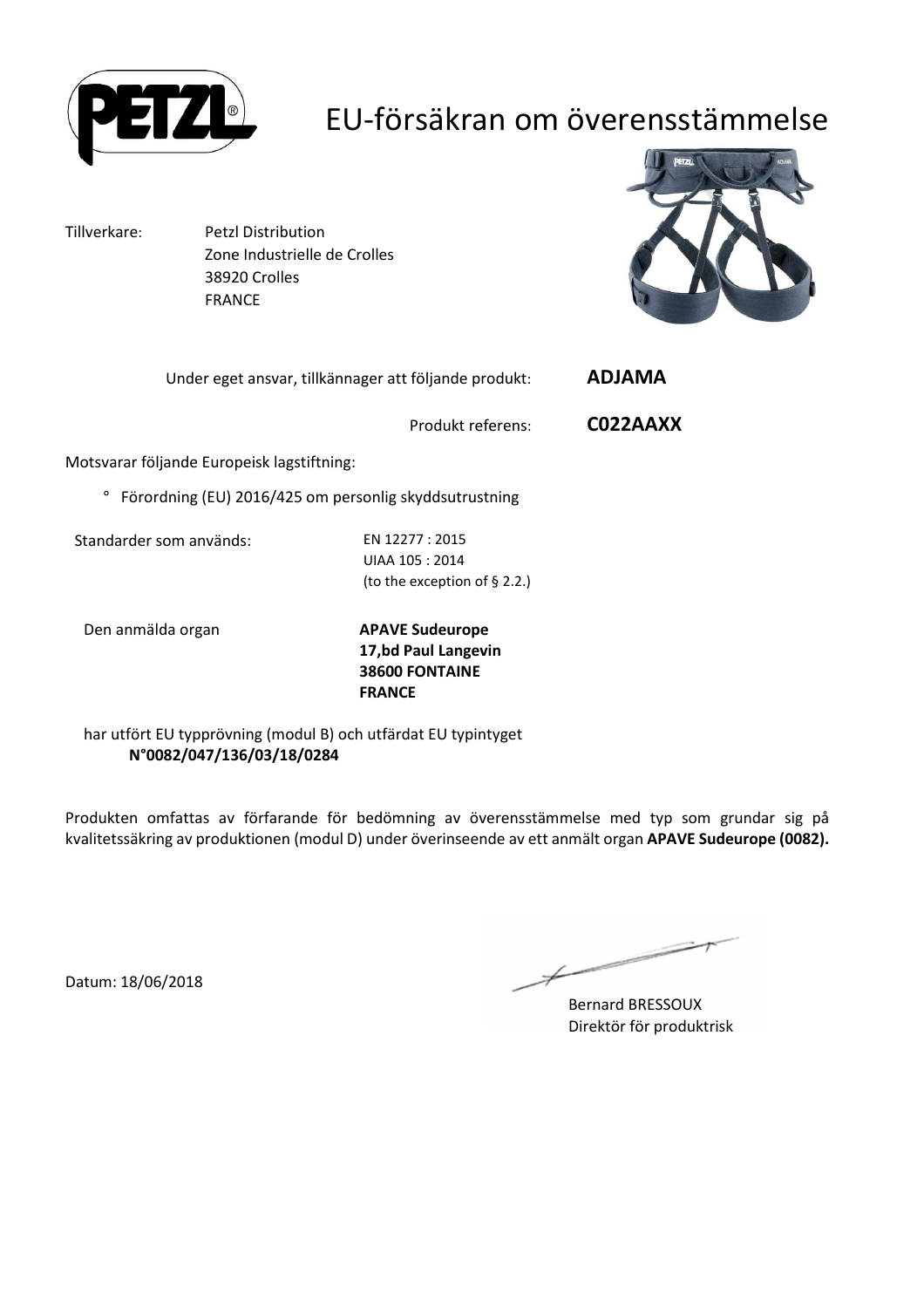

### EU-försäkran om överensstämmelse

Tillverkare: Petzl Distribution Zone Industrielle de Crolles 38920 Crolles FRANCE



| <b>ADJAMA</b> | Under eget ansvar, tillkännager att följande produkt:  |  |  |  |  |
|---------------|--------------------------------------------------------|--|--|--|--|
| CO22AAXX      | Produkt referens:                                      |  |  |  |  |
|               | Motsvarar följande Europeisk lagstiftning:             |  |  |  |  |
|               | Förordning (EU) 2016/425 om personlig skyddsutrustning |  |  |  |  |
|               |                                                        |  |  |  |  |

Standarder som används: EN 12277 : 2015

UIAA 105 : 2014 (to the exception of § 2.2.)

Den anmälda organ **APAVE Sudeurope**

**17,bd Paul Langevin 38600 FONTAINE FRANCE**

har utfört EU typprövning (modul B) och utfärdat EU typintyget **N°0082/047/136/03/18/0284**

Produkten omfattas av förfarande för bedömning av överensstämmelse med typ som grundar sig på kvalitetssäkring av produktionen (modul D) under överinseende av ett anmält organ **APAVE Sudeurope (0082).**

Bernard BRESSOUX Direktör för produktrisk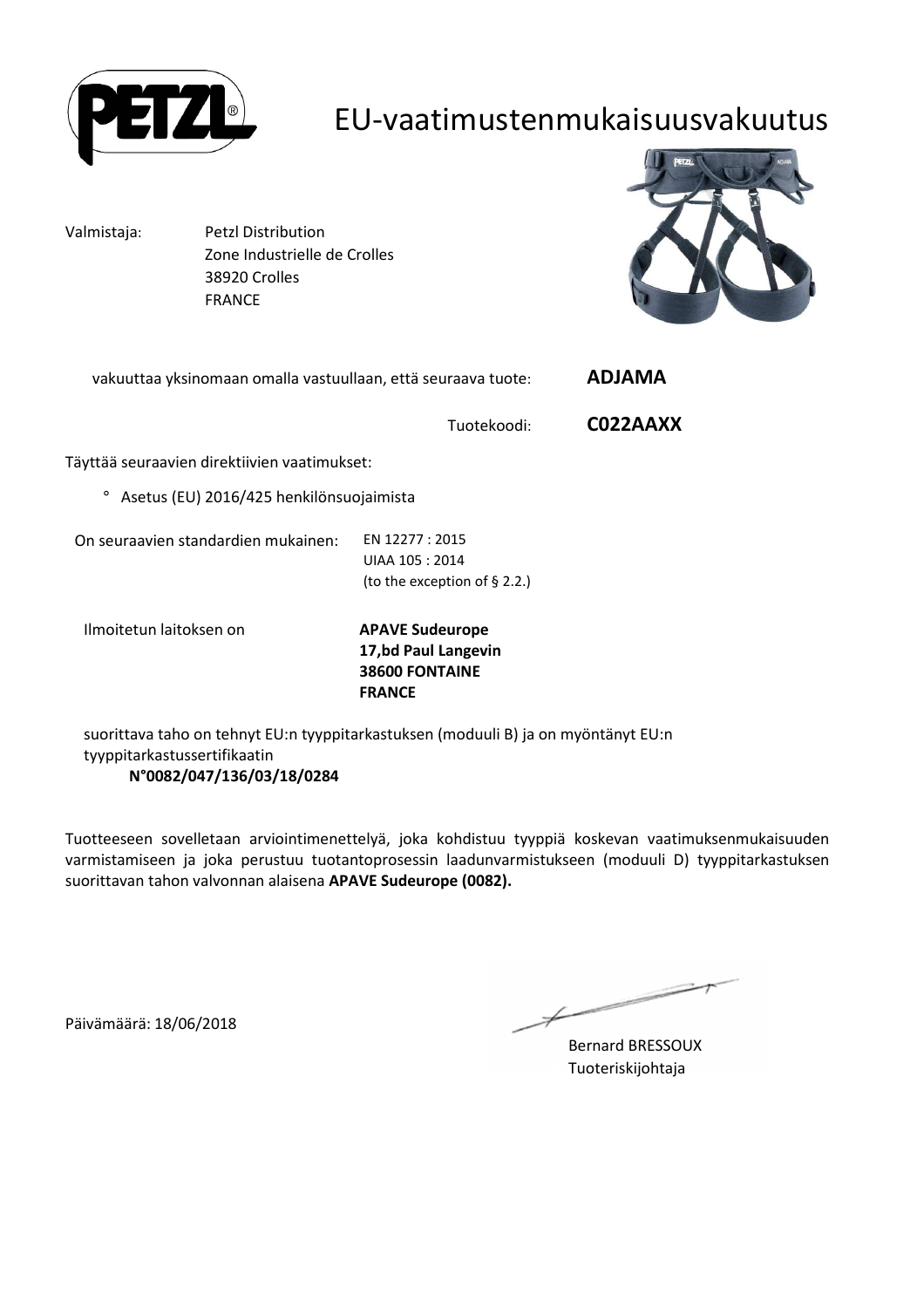

#### EU-vaatimustenmukaisuusvakuutus

Valmistaja: Petzl Distribution Zone Industrielle de Crolles 38920 Crolles FRANCE



| vakuuttaa yksinomaan omalla vastuullaan, että seuraava tuote: | <b>ADJAMA</b>                                                                           |          |  |  |  |  |
|---------------------------------------------------------------|-----------------------------------------------------------------------------------------|----------|--|--|--|--|
|                                                               | Tuotekoodi:                                                                             | C022AAXX |  |  |  |  |
| Täyttää seuraavien direktiivien vaatimukset:                  |                                                                                         |          |  |  |  |  |
| Asetus (EU) 2016/425 henkilönsuojaimista<br>o                 |                                                                                         |          |  |  |  |  |
| On seuraavien standardien mukainen:                           | EN 12277 : 2015<br>UIAA 105 : 2014<br>(to the exception of $\S$ 2.2.)                   |          |  |  |  |  |
| Ilmoitetun laitoksen on                                       | <b>APAVE Sudeurope</b><br>17,bd Paul Langevin<br><b>38600 FONTAINE</b><br><b>FRANCE</b> |          |  |  |  |  |

suorittava taho on tehnyt EU:n tyyppitarkastuksen (moduuli B) ja on myöntänyt EU:n tyyppitarkastussertifikaatin **N°0082/047/136/03/18/0284**

Tuotteeseen sovelletaan arviointimenettelyä, joka kohdistuu tyyppiä koskevan vaatimuksenmukaisuuden varmistamiseen ja joka perustuu tuotantoprosessin laadunvarmistukseen (moduuli D) tyyppitarkastuksen suorittavan tahon valvonnan alaisena **APAVE Sudeurope (0082).**

Päivämäärä: 18/06/2018

 $\overline{\phantom{a}}$ Ł

Bernard BRESSOUX Tuoteriskijohtaja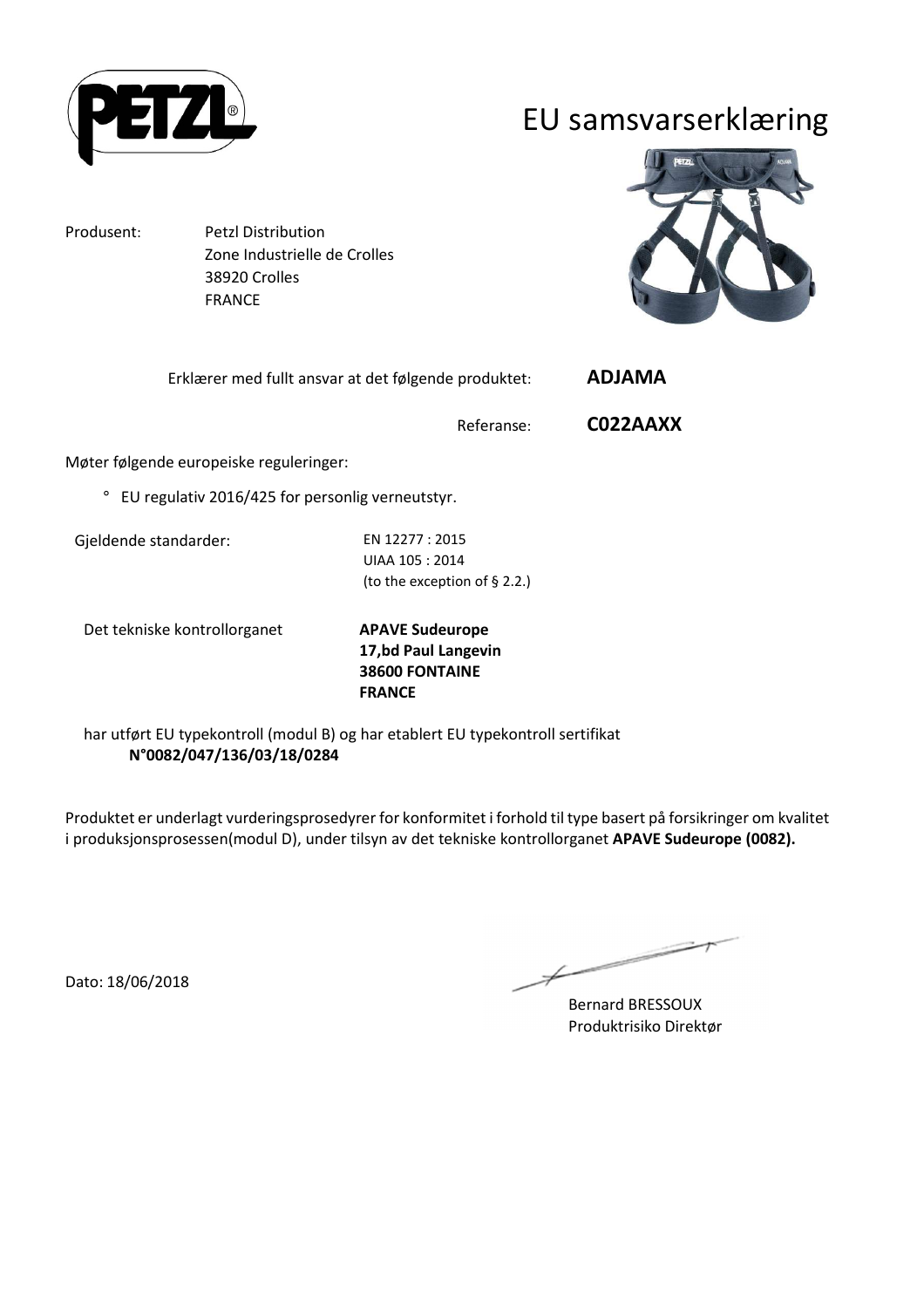

#### EU samsvarserklæring

Produsent: Petzl Distribution

 Zone Industrielle de Crolles 38920 Crolles FRANCE



Erklærer med fullt ansvar at det følgende produktet: **ADJAMA** 

Referanse: **C022AAXX**

Møter følgende europeiske reguleringer:

° EU regulativ 2016/425 for personlig verneutstyr.

Gjeldende standarder: EN 12277 : 2015

UIAA 105 : 2014 (to the exception of § 2.2.)

Det tekniske kontrollorganet **APAVE Sudeurope**

**17,bd Paul Langevin 38600 FONTAINE FRANCE**

har utført EU typekontroll (modul B) og har etablert EU typekontroll sertifikat **N°0082/047/136/03/18/0284**

Produktet er underlagt vurderingsprosedyrer for konformitet i forhold til type basert på forsikringer om kvalitet i produksjonsprosessen(modul D), under tilsyn av det tekniske kontrollorganet **APAVE Sudeurope (0082).**

Dato: 18/06/2018

 $\overline{\phantom{a}}$ 

Bernard BRESSOUX Produktrisiko Direktør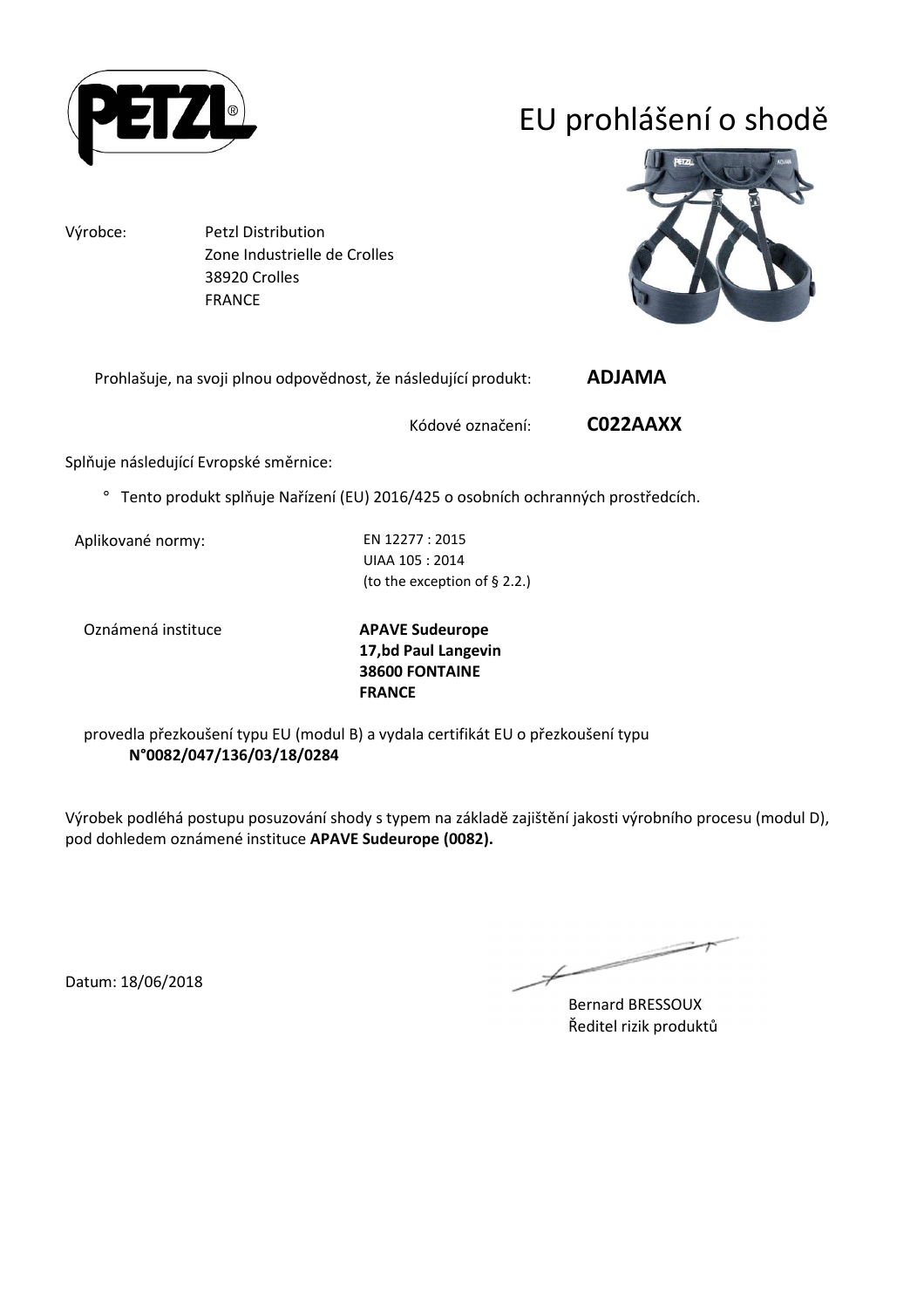

# EU prohlášení o shodě

Výrobce: Petzl Distribution Zone Industrielle de Crolles 38920 Crolles FRANCE



Prohlašuje, na svoji plnou odpovědnost, že následující produkt: **ADJAMA** 

Kódové označení: **C022AAXX**

Splňuje následující Evropské směrnice:

° Tento produkt splňuje Nařízení (EU) 2016/425 o osobních ochranných prostředcích.

Aplikované normy: EN 12277 : 2015

UIAA 105 : 2014 (to the exception of § 2.2.)

Oznámená instituce **APAVE Sudeurope**

**17,bd Paul Langevin 38600 FONTAINE FRANCE**

provedla přezkoušení typu EU (modul B) a vydala certifikát EU o přezkoušení typu **N°0082/047/136/03/18/0284**

Výrobek podléhá postupu posuzování shody s typem na základě zajištění jakosti výrobního procesu (modul D), pod dohledem oznámené instituce **APAVE Sudeurope (0082).**

 $\overline{\phantom{a}}$ 

Bernard BRESSOUX Ředitel rizik produktů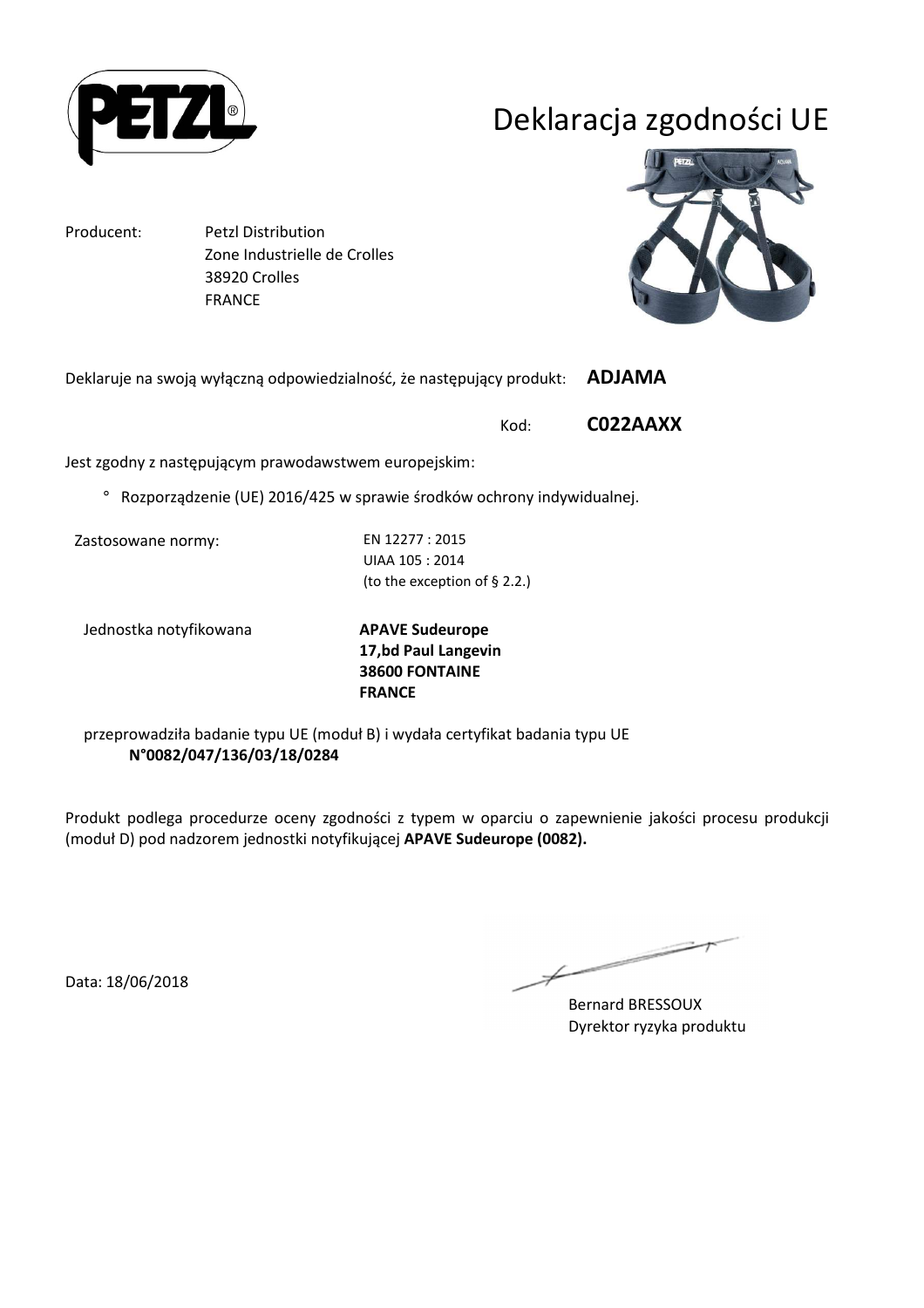

# Deklaracja zgodności UE

Producent: Petzl Distribution Zone Industrielle de Crolles 38920 Crolles FRANCE



Deklaruje na swoją wyłączną odpowiedzialność, że następujący produkt: **ADJAMA** 

Kod: **C022AAXX**

Jest zgodny z następującym prawodawstwem europejskim:

° Rozporządzenie (UE) 2016/425 w sprawie środków ochrony indywidualnej.

Zastosowane normy: EN 12277 : 2015

UIAA 105 : 2014 (to the exception of § 2.2.)

Jednostka notyfikowana **APAVE Sudeurope**

**17,bd Paul Langevin 38600 FONTAINE FRANCE**

przeprowadziła badanie typu UE (moduł B) i wydała certyfikat badania typu UE **N°0082/047/136/03/18/0284**

Produkt podlega procedurze oceny zgodności z typem w oparciu o zapewnienie jakości procesu produkcji (moduł D) pod nadzorem jednostki notyfikującej **APAVE Sudeurope (0082).**

Data: 18/06/2018

Bernard BRESSOUX Dyrektor ryzyka produktu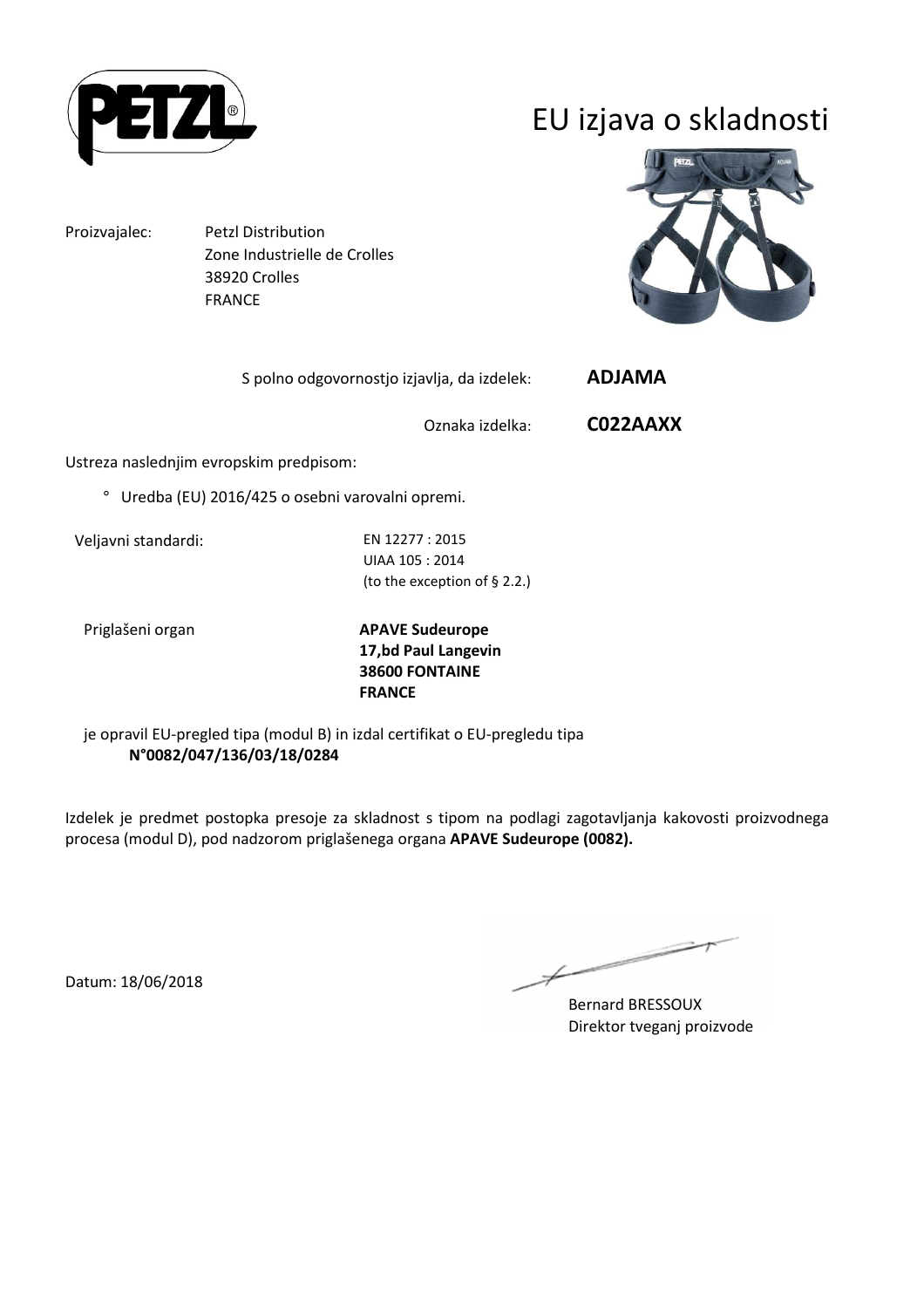

# EU izjava o skladnosti

Proizvajalec: Petzl Distribution Zone Industrielle de Crolles 38920 Crolles FRANCE

S polno odgovornostjo izjavlja, da izdelek: **ADJAMA** 

Oznaka izdelka: **C022AAXX**

Ustreza naslednjim evropskim predpisom:

° Uredba (EU) 2016/425 o osebni varovalni opremi.

Veljavni standardi: EN 12277 : 2015

UIAA 105 : 2014 (to the exception of § 2.2.)

Priglašeni organ **APAVE Sudeurope 17,bd Paul Langevin 38600 FONTAINE FRANCE**

je opravil EU-pregled tipa (modul B) in izdal certifikat o EU-pregledu tipa **N°0082/047/136/03/18/0284**

Izdelek je predmet postopka presoje za skladnost s tipom na podlagi zagotavljanja kakovosti proizvodnega procesa (modul D), pod nadzorom priglašenega organa **APAVE Sudeurope (0082).**

 $\overline{\phantom{a}}$ 

Bernard BRESSOUX Direktor tveganj proizvode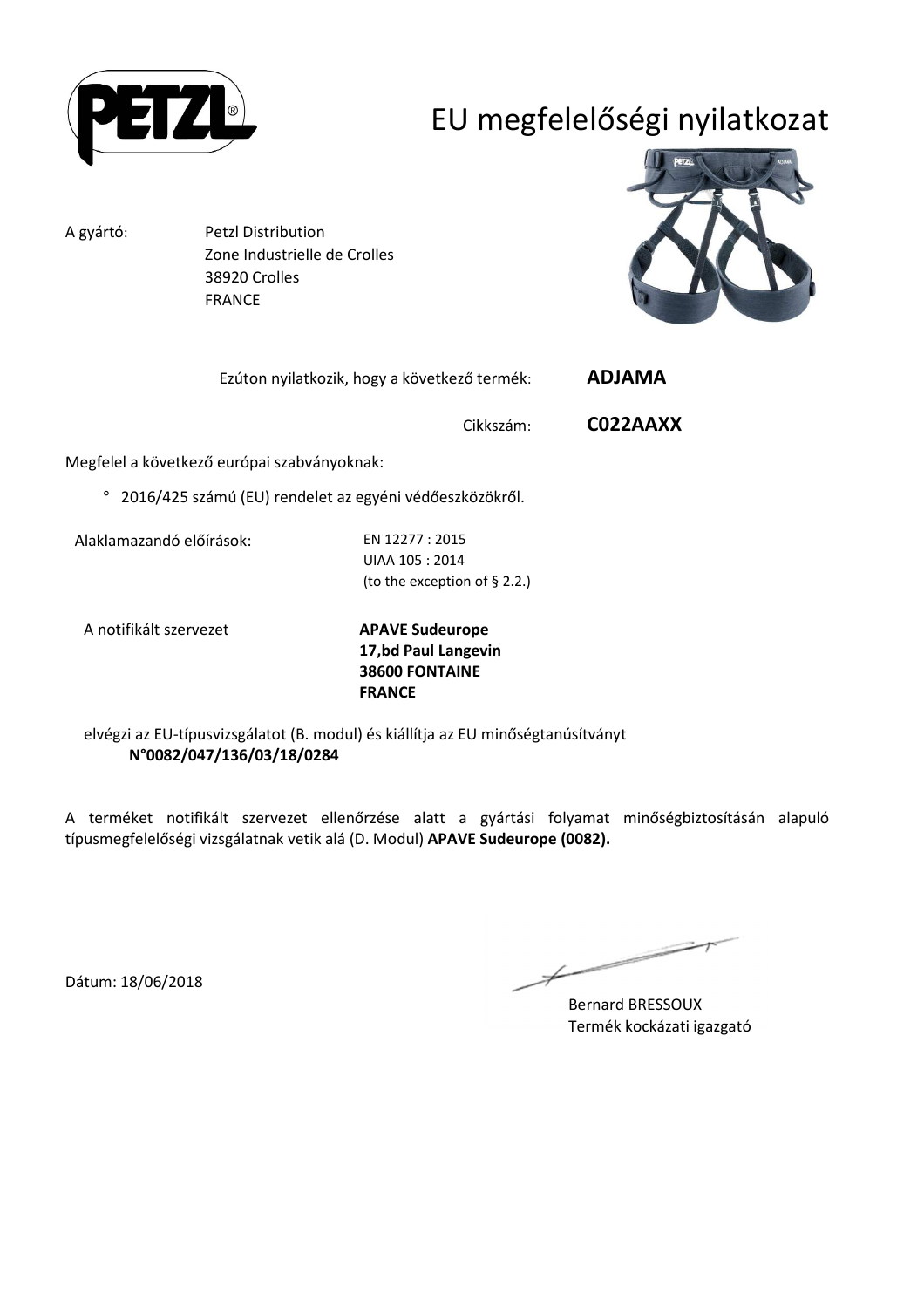

# EU megfelelőségi nyilatkozat

A gyártó: Petzl Distribution Zone Industrielle de Crolles 38920 Crolles FRANCE



| Ezúton nyilatkozik, hogy a következő termék: | <b>ADJAMA</b> |
|----------------------------------------------|---------------|
|----------------------------------------------|---------------|

Cikkszám: **C022AAXX**

Megfelel a következő európai szabványoknak:

° 2016/425 számú (EU) rendelet az egyéni védőeszközökről.

Alaklamazandó előírások: EN 12277 : 2015

UIAA 105 : 2014 (to the exception of § 2.2.)

A notifikált szervezet **APAVE Sudeurope**

**17,bd Paul Langevin 38600 FONTAINE FRANCE**

elvégzi az EU-típusvizsgálatot (B. modul) és kiállítja az EU minőségtanúsítványt **N°0082/047/136/03/18/0284**

A terméket notifikált szervezet ellenőrzése alatt a gyártási folyamat minőségbiztosításán alapuló típusmegfelelőségi vizsgálatnak vetik alá (D. Modul) **APAVE Sudeurope (0082).**

 $\overline{\phantom{a}}$ 

Bernard BRESSOUX Termék kockázati igazgató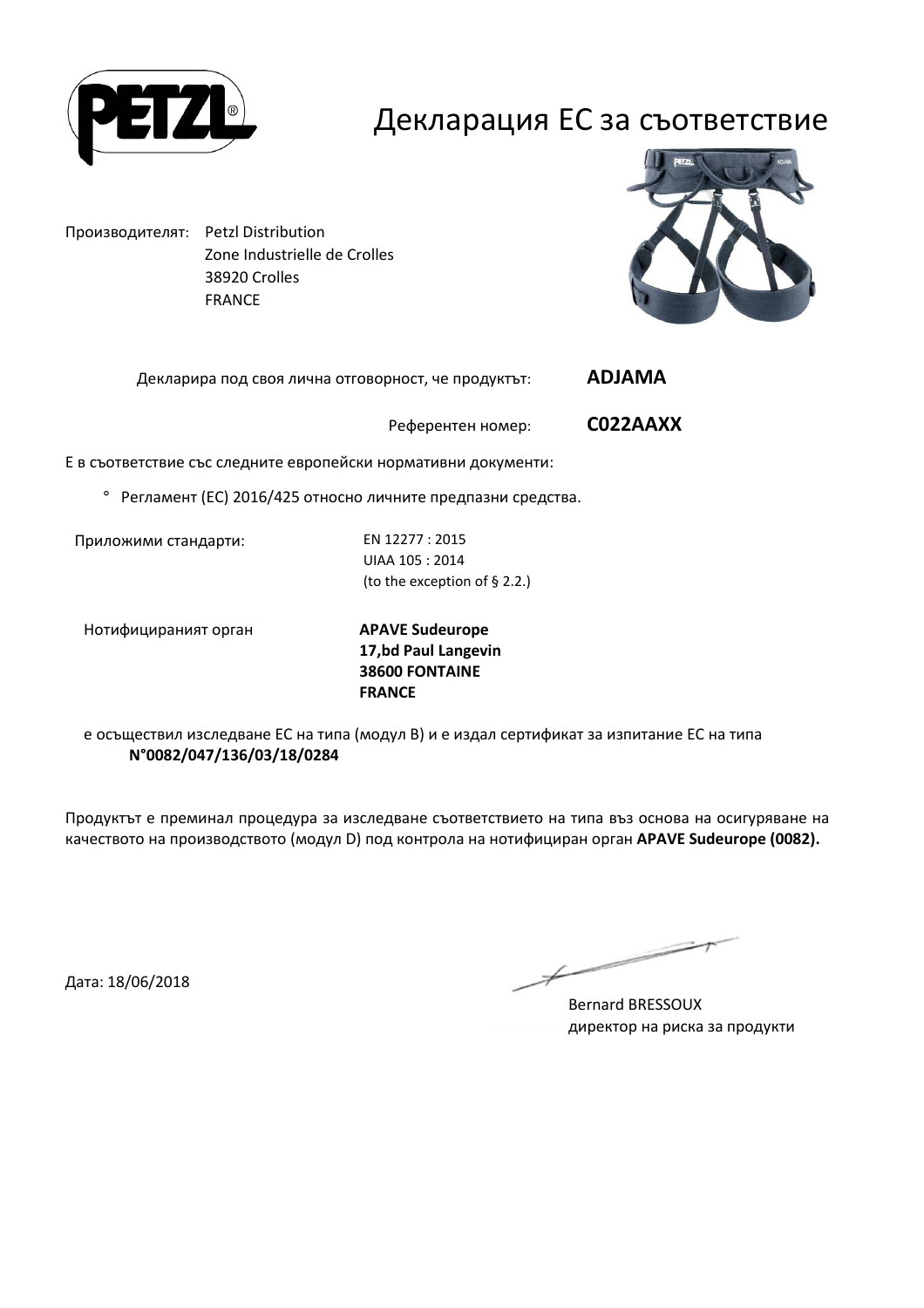

#### Декларация ЕС за съответствие

Производителят: Petzl Distribution Zone Industrielle de Crolles 38920 Crolles FRANCE



Декларира под своя лична отговорност, че продуктът: **ADJAMA** 

Референтен номер: **C022AAXX**

Е в съответствие със следните европейски нормативни документи:

° Регламент (ЕС) 2016/425 относно личните предпазни средства.

Приложими стандарти: EN 12277 : 2015

UIAA 105 : 2014 (to the exception of § 2.2.)

Нотифицираният орган **APAVE Sudeurope**

**17,bd Paul Langevin 38600 FONTAINE FRANCE**

е осъществил изследване ЕС на типа (модул В) и е издал сертификат за изпитание ЕС на типа **N°0082/047/136/03/18/0284**

Продуктът е преминал процедура за изследване съответствието на типа въз основа на осигуряване на качеството на производството (модул D) под контрола на нотифициран орган **APAVE Sudeurope (0082).**

Дата: 18/06/2018

 $\overline{\phantom{a}}$ 

Bernard BRESSOUX директор на риска за продукти